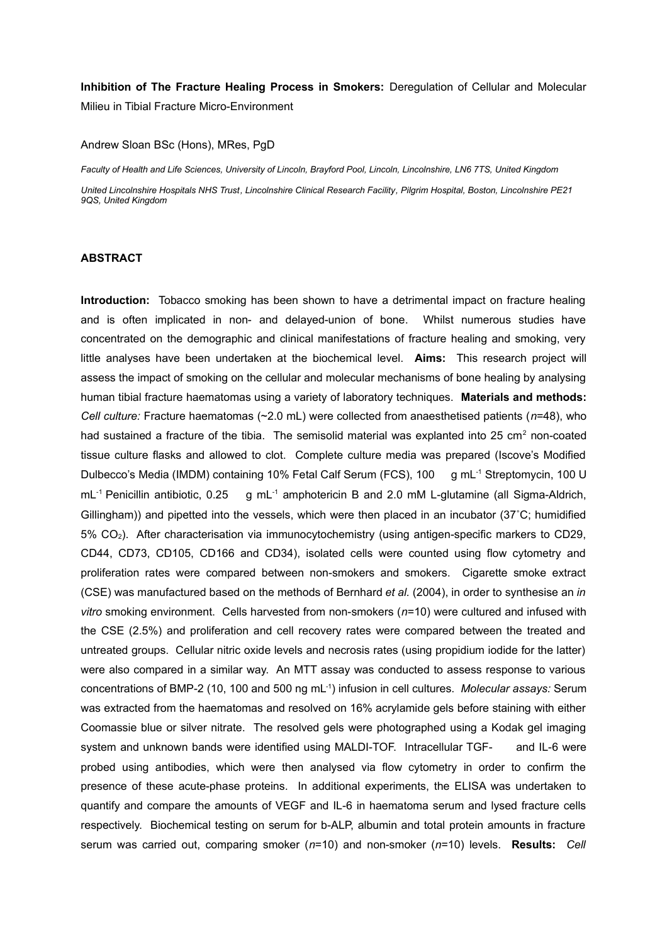**Inhibition of The Fracture Healing Process in Smokers:** Deregulation of Cellular and Molecular Milieu in Tibial Fracture Micro-Environment

## Andrew Sloan BSc (Hons), MRes, PgD

*Faculty of Health and Life Sciences, University of Lincoln, Brayford Pool, Lincoln, Lincolnshire, LN6 7TS, United Kingdom*

*United Lincolnshire Hospitals NHS Trust, Lincolnshire Clinical Research Facility, Pilgrim Hospital, Boston, Lincolnshire PE21 9QS, United Kingdom*

## **ABSTRACT**

**Introduction:** Tobacco smoking has been shown to have a detrimental impact on fracture healing and is often implicated in non- and delayed-union of bone. Whilst numerous studies have concentrated on the demographic and clinical manifestations of fracture healing and smoking, very little analyses have been undertaken at the biochemical level. **Aims:** This research project will assess the impact of smoking on the cellular and molecular mechanisms of bone healing by analysing human tibial fracture haematomas using a variety of laboratory techniques. **Materials and methods:** *Cell culture:* Fracture haematomas (~2.0 mL) were collected from anaesthetised patients (*n*=48), who had sustained a fracture of the tibia. The semisolid material was explanted into 25 cm<sup>2</sup> non-coated tissue culture flasks and allowed to clot. Complete culture media was prepared (Iscove's Modified Dulbecco's Media (IMDM) containing 10% Fetal Calf Serum (FCS), 100 g mL<sup>-1</sup> Streptomycin, 100 U mL<sup>-1</sup> Penicillin antibiotic, 0.25 g mL<sup>-1</sup> amphotericin B and 2.0 mM L-glutamine (all Sigma-Aldrich, Gillingham)) and pipetted into the vessels, which were then placed in an incubator (37˚C; humidified 5% CO2). After characterisation via immunocytochemistry (using antigen-specific markers to CD29, CD44, CD73, CD105, CD166 and CD34), isolated cells were counted using flow cytometry and proliferation rates were compared between non-smokers and smokers. Cigarette smoke extract (CSE) was manufactured based on the methods of Bernhard *et al.* (2004), in order to synthesise an *in vitro* smoking environment. Cells harvested from non-smokers (*n*=10) were cultured and infused with the CSE (2.5%) and proliferation and cell recovery rates were compared between the treated and untreated groups. Cellular nitric oxide levels and necrosis rates (using propidium iodide for the latter) were also compared in a similar way. An MTT assay was conducted to assess response to various concentrations of BMP-2 (10, 100 and 500 ng mL-1) infusion in cell cultures. *Molecular assays:* Serum was extracted from the haematomas and resolved on 16% acrylamide gels before staining with either Coomassie blue or silver nitrate. The resolved gels were photographed using a Kodak gel imaging system and unknown bands were identified using MALDI-TOF. Intracellular TGF- and IL-6 were probed using antibodies, which were then analysed via flow cytometry in order to confirm the presence of these acute-phase proteins. In additional experiments, the ELISA was undertaken to quantify and compare the amounts of VEGF and IL-6 in haematoma serum and lysed fracture cells respectively. Biochemical testing on serum for b-ALP, albumin and total protein amounts in fracture serum was carried out, comparing smoker (*n*=10) and non-smoker (*n*=10) levels. **Results:** *Cell*